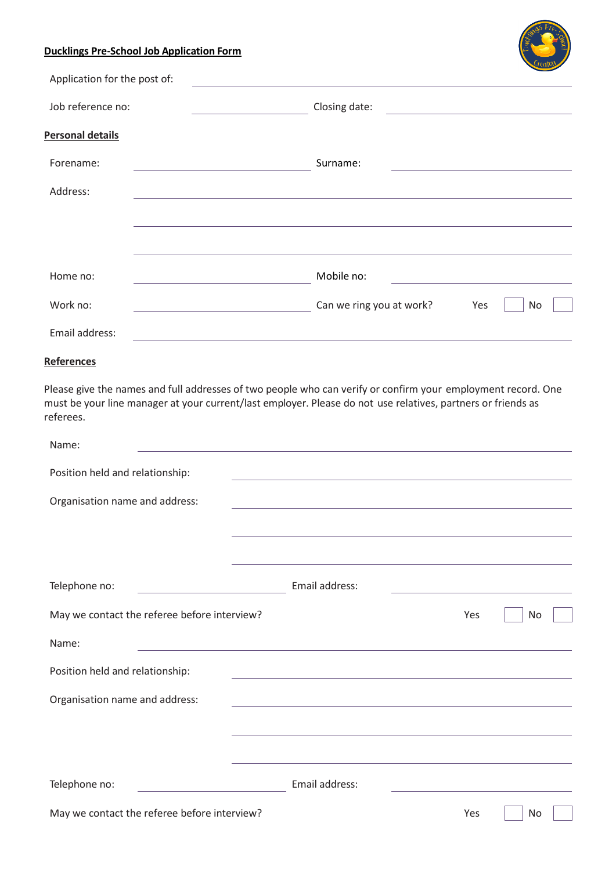# **Ducklings Pre-School Job Application Form**

| <u><b>Monthlygo + + c sont consistent production + change</b></u> |                          |           |
|-------------------------------------------------------------------|--------------------------|-----------|
| Application for the post of:                                      |                          |           |
| Job reference no:                                                 | Closing date:            |           |
| <b>Personal details</b>                                           |                          |           |
| Forename:                                                         | Surname:                 |           |
| Address:                                                          |                          |           |
|                                                                   |                          |           |
|                                                                   |                          |           |
| Home no:                                                          | Mobile no:               |           |
| Work no:                                                          | Can we ring you at work? | Yes<br>No |
| Email address:                                                    |                          |           |

# **References**

Please give the names and full addresses of two people who can verify or confirm your employment record. One must be your line manager at your current/last employer. Please do not use relatives, partners or friends as referees.

| Name:                                        |                                                                                                                  |                                                                            |    |  |
|----------------------------------------------|------------------------------------------------------------------------------------------------------------------|----------------------------------------------------------------------------|----|--|
| Position held and relationship:              | and the control of the control of the control of the control of the control of the control of the control of the |                                                                            |    |  |
| Organisation name and address:               |                                                                                                                  |                                                                            |    |  |
|                                              |                                                                                                                  |                                                                            |    |  |
|                                              |                                                                                                                  |                                                                            |    |  |
| Telephone no:                                | Email address:                                                                                                   | the control of the control of the control of the control of the control of |    |  |
| May we contact the referee before interview? |                                                                                                                  | Yes                                                                        | No |  |
| Name:                                        | <u> 1989 - Johann Barbara, martxa eta politikar</u>                                                              |                                                                            |    |  |
| Position held and relationship:              | and the control of the control of the control of the control of the control of the control of the control of the |                                                                            |    |  |
| Organisation name and address:               |                                                                                                                  |                                                                            |    |  |
|                                              |                                                                                                                  |                                                                            |    |  |
|                                              |                                                                                                                  |                                                                            |    |  |
| Telephone no:                                | Email address:                                                                                                   |                                                                            |    |  |
| May we contact the referee before interview? |                                                                                                                  | Yes                                                                        | No |  |
|                                              |                                                                                                                  |                                                                            |    |  |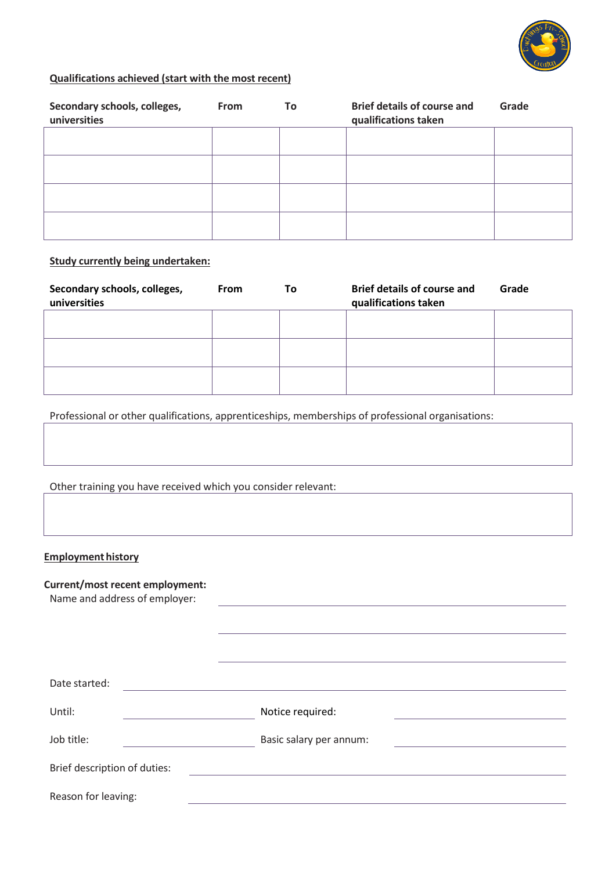

# **Qualifications achieved (start with the most recent)**

| Secondary schools, colleges,<br>universities | <b>From</b> | Τo | <b>Brief details of course and</b><br>qualifications taken | Grade |
|----------------------------------------------|-------------|----|------------------------------------------------------------|-------|
|                                              |             |    |                                                            |       |
|                                              |             |    |                                                            |       |
|                                              |             |    |                                                            |       |
|                                              |             |    |                                                            |       |

#### **Study currently being undertaken:**

| Secondary schools, colleges,<br>universities | <b>From</b> | To | <b>Brief details of course and</b><br>qualifications taken | Grade |
|----------------------------------------------|-------------|----|------------------------------------------------------------|-------|
|                                              |             |    |                                                            |       |
|                                              |             |    |                                                            |       |
|                                              |             |    |                                                            |       |

Professional or other qualifications, apprenticeships, memberships of professional organisations:

Other training you have received which you consider relevant:

#### **Employment history**

# **Current/most recent employment:**

Name and address of employer:

| Date started:                |                         |  |
|------------------------------|-------------------------|--|
| Until:                       | Notice required:        |  |
| Job title:                   | Basic salary per annum: |  |
| Brief description of duties: |                         |  |
| Reason for leaving:          |                         |  |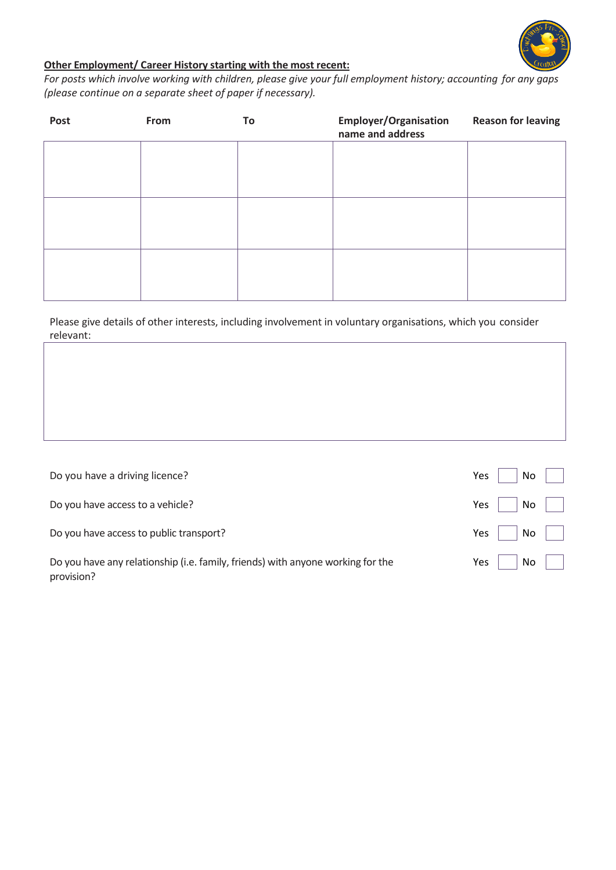

# **Other Employment/ Career History starting with the most recent:**

*For posts which involve working with children, please give your full employment history; accounting for any gaps (please continue on a separate sheet of paper if necessary).*

| Post | From | To | <b>Employer/Organisation</b><br>name and address | <b>Reason for leaving</b> |
|------|------|----|--------------------------------------------------|---------------------------|
|      |      |    |                                                  |                           |
|      |      |    |                                                  |                           |
|      |      |    |                                                  |                           |
|      |      |    |                                                  |                           |
|      |      |    |                                                  |                           |
|      |      |    |                                                  |                           |

Please give details of other interests, including involvement in voluntary organisations, which you consider relevant:

| Do you have a driving licence?                                                                | Yes | No. |  |
|-----------------------------------------------------------------------------------------------|-----|-----|--|
| Do you have access to a vehicle?                                                              | Yes | No  |  |
| Do you have access to public transport?                                                       | Yes | No  |  |
| Do you have any relationship (i.e. family, friends) with anyone working for the<br>provision? | Yes | No  |  |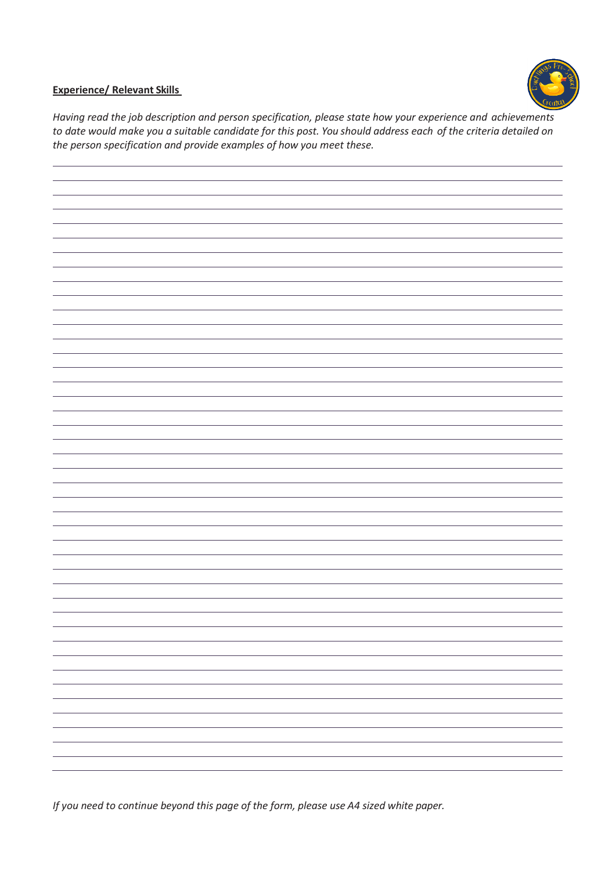

# **Experience/ Relevant Skills**

*Having read the job description and person specification, please state how your experience and achievements to date would make you a suitable candidate for this post. You should address each of the criteria detailed on the person specification and provide examples of how you meet these.*



*If you need to continue beyond this page of the form, please use A4 sized white paper.*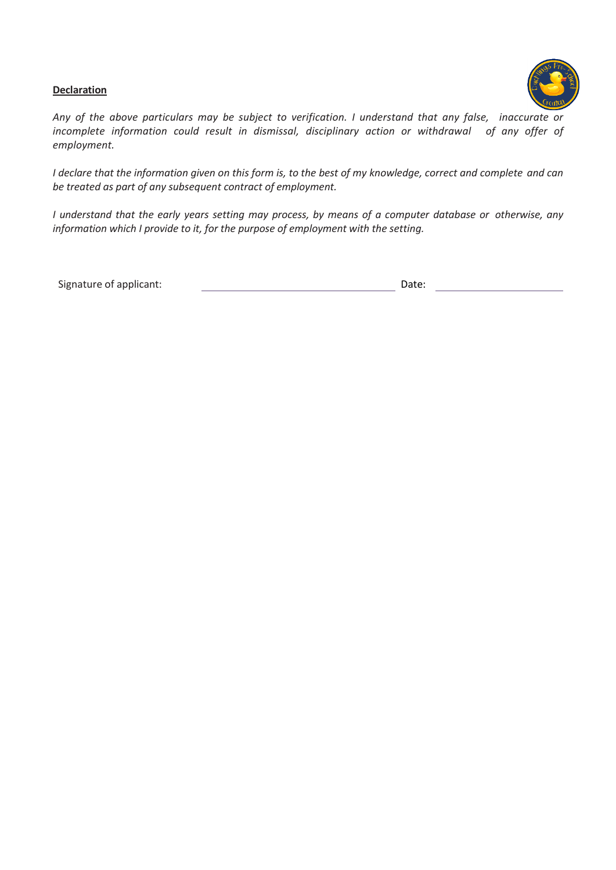#### **Declaration**



*Any of the above particulars may be subject to verification. I understand that any false, inaccurate or incomplete information could result in dismissal, disciplinary action or withdrawal of any offer of employment.*

*I declare that the information given on this form is, to the best of my knowledge, correct and complete and can be treated as part of any subsequent contract of employment.*

*I understand that the early years setting may process, by means of a computer database or otherwise, any information which I provide to it, for the purpose of employment with the setting.*

Signature of applicant:  $\qquad \qquad$  Date: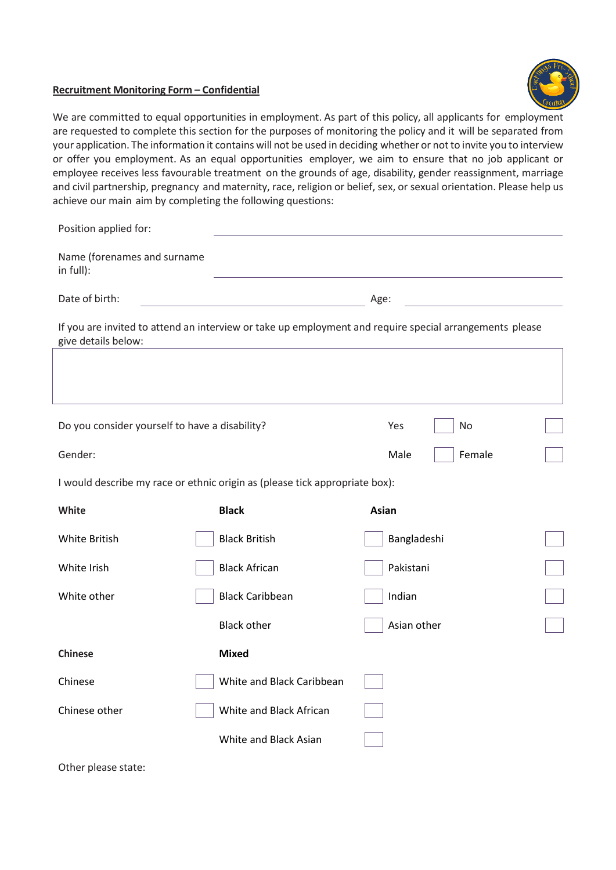#### **Recruitment Monitoring Form – Confidential**



We are committed to equal opportunities in employment. As part of this policy, all applicants for employment are requested to complete this section for the purposes of monitoring the policy and it will be separated from your application. The information it contains will not be used in deciding whether or not to invite you to interview or offer you employment. As an equal opportunities employer, we aim to ensure that no job applicant or employee receives less favourable treatment on the grounds of age, disability, gender reassignment, marriage and civil partnership, pregnancy and maternity, race, religion or belief, sex, or sexual orientation. Please help us achieve our main aim by completing the following questions:

| Position applied for:                          |                                                                             |                                                                                                         |  |  |
|------------------------------------------------|-----------------------------------------------------------------------------|---------------------------------------------------------------------------------------------------------|--|--|
| Name (forenames and surname<br>in full):       |                                                                             |                                                                                                         |  |  |
| Date of birth:                                 |                                                                             | Age:                                                                                                    |  |  |
| give details below:                            |                                                                             | If you are invited to attend an interview or take up employment and require special arrangements please |  |  |
|                                                |                                                                             |                                                                                                         |  |  |
|                                                |                                                                             |                                                                                                         |  |  |
| Do you consider yourself to have a disability? |                                                                             | No<br>Yes                                                                                               |  |  |
| Gender:                                        |                                                                             | Female<br>Male                                                                                          |  |  |
|                                                | I would describe my race or ethnic origin as (please tick appropriate box): |                                                                                                         |  |  |
| White                                          | <b>Black</b>                                                                | Asian                                                                                                   |  |  |
| White British                                  | <b>Black British</b>                                                        | Bangladeshi                                                                                             |  |  |
| White Irish                                    | <b>Black African</b>                                                        | Pakistani                                                                                               |  |  |
| White other                                    | <b>Black Caribbean</b>                                                      | Indian                                                                                                  |  |  |
|                                                | <b>Black other</b>                                                          | Asian other                                                                                             |  |  |
| <b>Chinese</b>                                 | <b>Mixed</b>                                                                |                                                                                                         |  |  |
| Chinese                                        | White and Black Caribbean                                                   |                                                                                                         |  |  |
| Chinese other                                  | White and Black African                                                     |                                                                                                         |  |  |
|                                                | White and Black Asian                                                       |                                                                                                         |  |  |
|                                                |                                                                             |                                                                                                         |  |  |

Other please state: